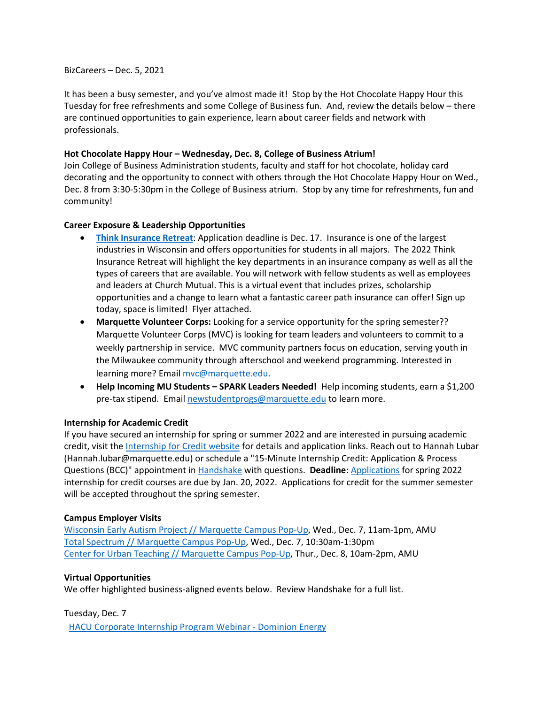#### BizCareers – Dec. 5, 2021

It has been a busy semester, and you've almost made it! Stop by the Hot Chocolate Happy Hour this Tuesday for free refreshments and some College of Business fun. And, review the details below – there are continued opportunities to gain experience, learn about career fields and network with professionals.

## **Hot Chocolate Happy Hour – Wednesday, Dec. 8, College of Business Atrium!**

Join College of Business Administration students, faculty and staff for hot chocolate, holiday card decorating and the opportunity to connect with others through the Hot Chocolate Happy Hour on Wed., Dec. 8 from 3:30-5:30pm in the College of Business atrium. Stop by any time for refreshments, fun and community!

# **Career Exposure & Leadership Opportunities**

- **[Think Insurance Retreat](https://marquette.joinhandshake.com/events/858021/share_preview)**: Application deadline is Dec. 17. Insurance is one of the largest industries in Wisconsin and offers opportunities for students in all majors. The 2022 Think Insurance Retreat will highlight the key departments in an insurance company as well as all the types of careers that are available. You will network with fellow students as well as employees and leaders at Church Mutual. This is a virtual event that includes prizes, scholarship opportunities and a change to learn what a fantastic career path insurance can offer! Sign up today, space is limited! Flyer attached.
- **Marquette Volunteer Corps:** Looking for a service opportunity for the spring semester?? Marquette Volunteer Corps (MVC) is looking for team leaders and volunteers to commit to a weekly partnership in service. MVC community partners focus on education, serving youth in the Milwaukee community through afterschool and weekend programming. Interested in learning more? Email [mvc@marquette.edu.](mailto:mvc@marquette.edu)
- **Help Incoming MU Students – SPARK Leaders Needed!** Help incoming students, earn a \$1,200 pre-tax stipend. Emai[l newstudentprogs@marquette.edu](mailto:newstudentprogs@marquette.edu) to learn more.

### **Internship for Academic Credit**

If you have secured an internship for spring or summer 2022 and are interested in pursuing academic credit, visit the [Internship for Credit website](https://www.marquette.edu/business/career-center/undergrad/internships.php) for details and application links. Reach out to Hannah Lubar (Hannah.lubar@marquette.edu) or schedule a "15-Minute Internship Credit: Application & Process Questions (BCC)" appointment i[n Handshake](https://marquette.joinhandshake.com/) with questions. **Deadline**: [Applications](https://www.marquette.edu/business/career-center/undergrad/internships.php) for spring 2022 internship for credit courses are due by Jan. 20, 2022. Applications for credit for the summer semester will be accepted throughout the spring semester.

### **Campus Employer Visits**

[Wisconsin Early Autism Project // Marquette Campus Pop-Up,](https://marquette.joinhandshake.com/events/909789/share_preview) Wed., Dec. 7, 11am-1pm, AMU [Total Spectrum // Marquette Campus Pop-Up,](https://marquette.joinhandshake.com/events/881298/share_preview) Wed., Dec. 7, 10:30am-1:30pm [Center for Urban Teaching // Marquette Campus Pop-Up,](https://marquette.joinhandshake.com/events/809024/share_preview) Thur., Dec. 8, 10am-2pm, AMU

### **Virtual Opportunities**

We offer highlighted business-aligned events below. Review Handshake for a full list.

Tuesday, Dec. 7

[HACU Corporate Internship Program Webinar -](https://marquette.joinhandshake.com/events/915602/share_preview) Dominion Energy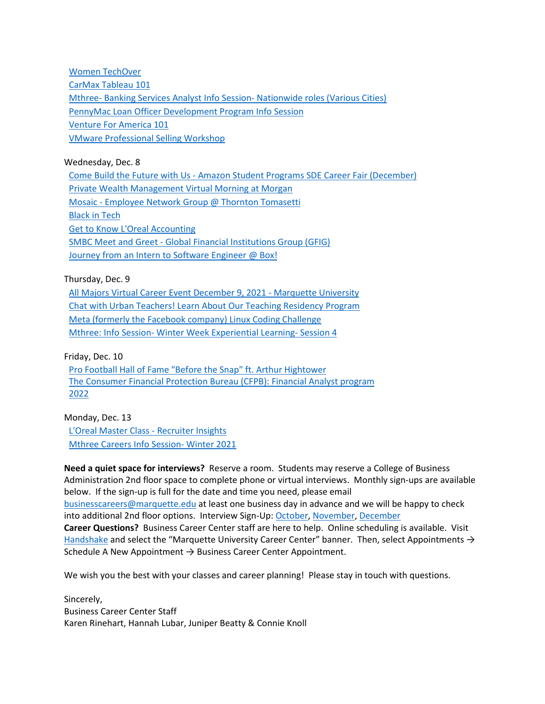[Women TechOver](https://marquette.joinhandshake.com/events/915110/share_preview) [CarMax Tableau 101](https://marquette.joinhandshake.com/events/914873/share_preview)  Mthree- [Banking Services Analyst Info Session-](https://marquette.joinhandshake.com/events/912172/share_preview) Nationwide roles (Various Cities) [PennyMac Loan Officer Development Program Info Session](https://marquette.joinhandshake.com/events/904979/share_preview) [Venture For America 101](https://marquette.joinhandshake.com/events/889870/share_preview) [VMware Professional Selling Workshop](https://marquette.joinhandshake.com/events/878374/share_preview)

Wednesday, Dec. 8

Come Build the Future with Us - [Amazon Student Programs SDE Career Fair \(December\)](https://marquette.joinhandshake.com/events/915102/share_preview) [Private Wealth Management Virtual Morning at Morgan](https://marquette.joinhandshake.com/events/914773/share_preview) Mosaic - [Employee Network Group @ Thornton Tomasetti](https://marquette.joinhandshake.com/events/914318/share_preview)  [Black in Tech](https://marquette.joinhandshake.com/events/914185/share_preview) [Get to Know L'Oreal](https://marquette.joinhandshake.com/events/913866/share_preview) Accounting SMBC Meet and Greet - [Global Financial Institutions Group \(GFIG\)](https://marquette.joinhandshake.com/events/913335/share_preview) [Journey from an Intern to Software Engineer @ Box!](https://marquette.joinhandshake.com/events/911605/share_preview)

Thursday, Dec. 9

[All Majors Virtual Career Event December 9, 2021 -](https://marquette.joinhandshake.com/events/911747/share_preview) Marquette University [Chat with Urban Teachers! Learn About Our Teaching Residency Program](https://marquette.joinhandshake.com/events/906851/share_preview)  [Meta \(formerly the Facebook company\) Linux Coding Challenge](https://marquette.joinhandshake.com/events/905049/share_preview) Mthree: Info Session- [Winter Week Experiential Learning-](https://marquette.joinhandshake.com/events/900352/share_preview) Session 4

Friday, Dec. 10

[Pro Football Hall of Fame "Before the Snap" ft. Arthur Hightower](https://marquette.joinhandshake.com/events/909733/share_preview) The Consumer Financial [Protection Bureau \(CFPB\): Financial Analyst program](https://marquette.joinhandshake.com/events/864007/share_preview)  [2022](https://marquette.joinhandshake.com/events/864007/share_preview)

Monday, Dec. 13 [L'Oreal Master Class -](https://marquette.joinhandshake.com/events/916116/share_preview) Recruiter Insights [Mthree Careers Info Session-](https://marquette.joinhandshake.com/events/913583/share_preview) Winter 2021

**Need a quiet space for interviews?** Reserve a room. Students may reserve a College of Business Administration 2nd floor space to complete phone or virtual interviews. Monthly sign-ups are available below. If the sign-up is full for the date and time you need, please email [businesscareers@marquette.edu](mailto:businesscareers@marquette.edu) at least one business day in advance and we will be happy to check into additional 2nd floor options. Interview Sign-Up[: October,](https://www.signupgenius.com/go/10c044fada92ba5f85-room1) [November,](https://www.signupgenius.com/go/10C044FADA92BA5F85-room2) [December](https://www.signupgenius.com/go/10C044FADA92BA5F85-december) **Career Questions?** Business Career Center staff are here to help. Online scheduling is available. Visit [Handshake](https://marquette.joinhandshake.com/) and select the "Marquette University Career Center" banner. Then, select Appointments  $\rightarrow$ Schedule A New Appointment  $\rightarrow$  Business Career Center Appointment.

We wish you the best with your classes and career planning! Please stay in touch with questions.

Sincerely, Business Career Center Staff Karen Rinehart, Hannah Lubar, Juniper Beatty & Connie Knoll